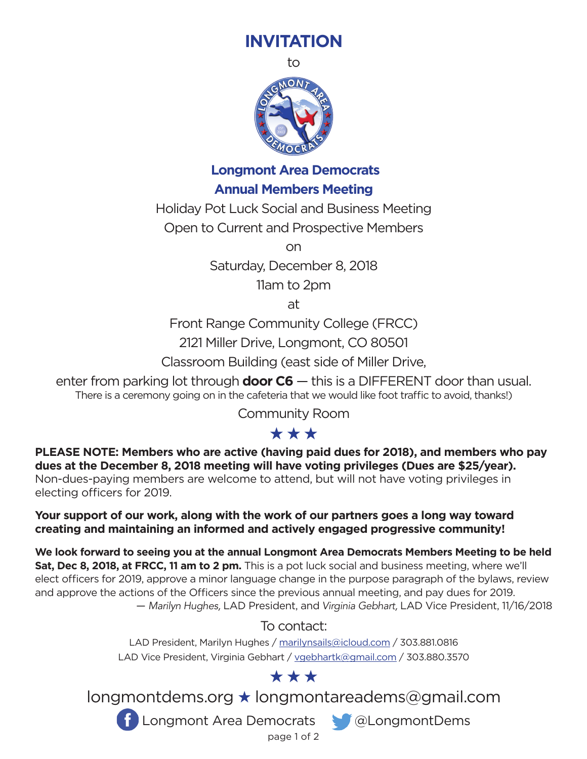## **INVITATION**

to



**Longmont Area Democrats**

### **Annual Members Meeting**

Holiday Pot Luck Social and Business Meeting

Open to Current and Prospective Members

on

Saturday, December 8, 2018

11am to 2pm

at

Front Range Community College (FRCC)

2121 Miller Drive, Longmont, CO 80501

Classroom Building (east side of Miller Drive,

enter from parking lot through **door C6** — this is a DIFFERENT door than usual. There is a ceremony going on in the cafeteria that we would like foot traffic to avoid, thanks!)

Community Room

## \*\*\*

**PLEASE NOTE: Members who are active (having paid dues for 2018), and members who pay dues at the December 8, 2018 meeting will have voting privileges (Dues are \$25/year).** Non-dues-paying members are welcome to attend, but will not have voting privileges in electing officers for 2019.

**Your support of our work, along with the work of our partners goes a long way toward creating and maintaining an informed and actively engaged progressive community!** 

**We look forward to seeing you at the annual Longmont Area Democrats Members Meeting to be held Sat, Dec 8, 2018, at FRCC, 11 am to 2 pm.** This is a pot luck social and business meeting, where we'll elect officers for 2019, approve a minor language change in the purpose paragraph of the bylaws, review and approve the actions of the Officers since the previous annual meeting, and pay dues for 2019. — *Marilyn Hughes,* LAD President, and *Virginia Gebhart,* LAD Vice President, 11/16/2018

### To contact:

LAD President, Marilyn Hughes / marilynsails@icloud.com / 303.881.0816 LAD Vice President, Virginia Gebhart / vgebhartk@gmail.com / 303.880.3570

## \*\*\*

longmontdems.org ★ longmontareadems@gmail.com



**f** Longmont Area Democrats **& @LongmontDems** 

page 1 of 2